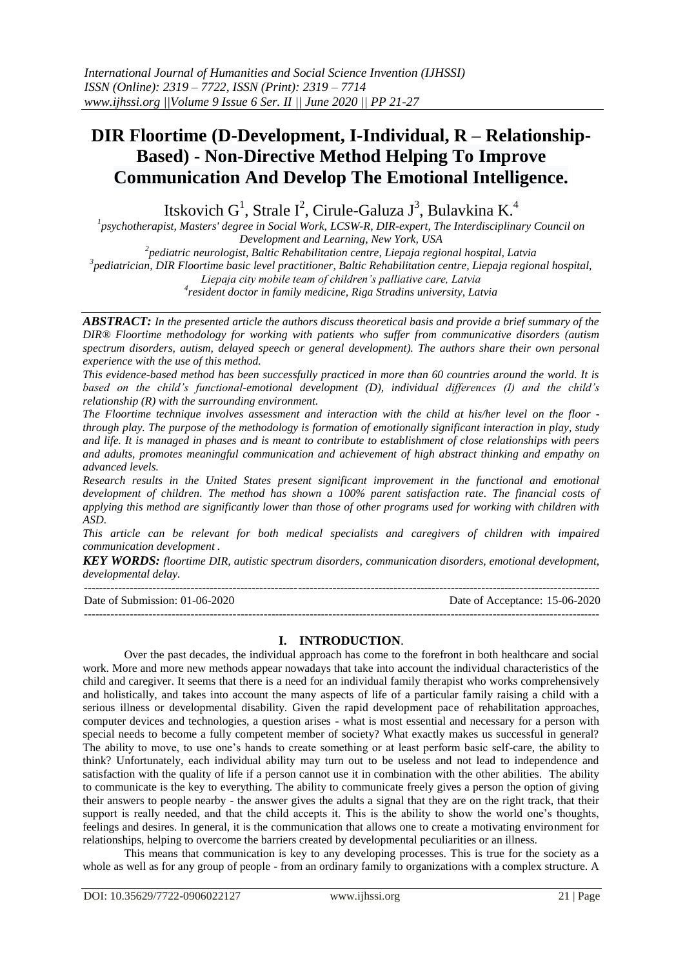# **DIR Floortime (D-Development, I-Individual, R – Relationship-Based) - Non-Directive Method Helping To Improve Communication And Develop The Emotional Intelligence.**

Itskovich  $G^1$ , Strale I<sup>2</sup>, Cirule-Galuza J<sup>3</sup>, Bulavkina K.<sup>4</sup>

*1 psychotherapist, Masters' degree in Social Work, LCSW-R, DIR-expert, The Interdisciplinary Council on Development and Learning, New York, USA*

*2 pediatric neurologist, Baltic Rehabilitation centre, Liepaja regional hospital, Latvia 3 pediatrician, DIR Floortime basic level practitioner, Baltic Rehabilitation centre, Liepaja regional hospital, Liepaja city mobile team of children's palliative care, Latvia*

*4 resident doctor in family medicine, Riga Stradins university, Latvia*

*ABSTRACT: In the presented article the authors discuss theoretical basis and provide a brief summary of the DIR® Floortime methodology for working with patients who suffer from communicative disorders (autism spectrum disorders, autism, delayed speech or general development). The authors share their own personal experience with the use of this method.*

*This evidence-based method has been successfully practiced in more than 60 countries around the world. It is based on the child's functional-emotional development (D), individual differences (I) and the child's relationship (R) with the surrounding environment.*

*The Floortime technique involves assessment and interaction with the child at his/her level on the floor through play. The purpose of the methodology is formation of emotionally significant interaction in play, study and life. It is managed in phases and is meant to contribute to establishment of close relationships with peers and adults, promotes meaningful communication and achievement of high abstract thinking and empathy on advanced levels.*

*Research results in the United States present significant improvement in the functional and emotional development of children. The method has shown a 100% parent satisfaction rate. The financial costs of applying this method are significantly lower than those of other programs used for working with children with ASD.*

*This article can be relevant for both medical specialists and caregivers of children with impaired communication development .*

*KEY WORDS: floortime DIR, autistic spectrum disorders, communication disorders, emotional development, developmental delay.*

--------------------------------------------------------------------------------------------------------------------------------------- Date of Submission: 01-06-2020 Date of Acceptance: 15-06-2020 ---------------------------------------------------------------------------------------------------------------------------------------

# **I. INTRODUCTION**.

Over the past decades, the individual approach has come to the forefront in both healthcare and social work. More and more new methods appear nowadays that take into account the individual characteristics of the child and caregiver. It seems that there is a need for an individual family therapist who works comprehensively and holistically, and takes into account the many aspects of life of a particular family raising a child with a serious illness or developmental disability. Given the rapid development pace of rehabilitation approaches, computer devices and technologies, a question arises - what is most essential and necessary for a person with special needs to become a fully competent member of society? What exactly makes us successful in general? The ability to move, to use one's hands to create something or at least perform basic self-care, the ability to think? Unfortunately, each individual ability may turn out to be useless and not lead to independence and satisfaction with the quality of life if a person cannot use it in combination with the other abilities. The ability to communicate is the key to everything. The ability to communicate freely gives a person the option of giving their answers to people nearby - the answer gives the adults a signal that they are on the right track, that their support is really needed, and that the child accepts it. This is the ability to show the world one's thoughts, feelings and desires. In general, it is the communication that allows one to create a motivating environment for relationships, helping to overcome the barriers created by developmental peculiarities or an illness.

This means that communication is key to any developing processes. This is true for the society as a whole as well as for any group of people - from an ordinary family to organizations with a complex structure. A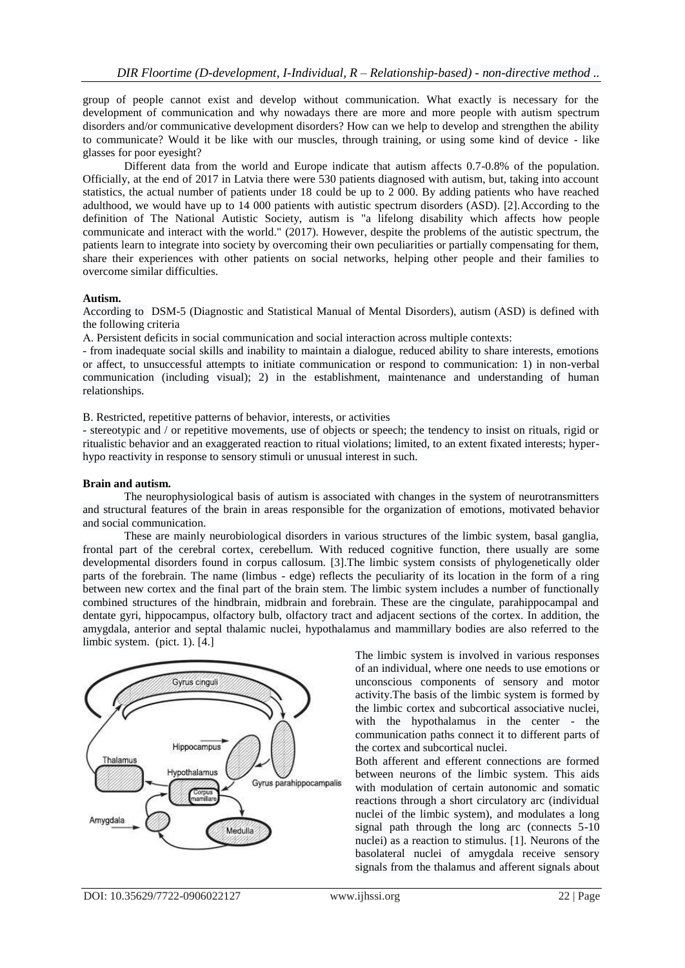group of people cannot exist and develop without communication. What exactly is necessary for the development of communication and why nowadays there are more and more people with autism spectrum disorders and/or communicative development disorders? How can we help to develop and strengthen the ability to communicate? Would it be like with our muscles, through training, or using some kind of device - like glasses for poor eyesight?

Different data from the world and Europe indicate that autism affects 0.7-0.8% of the population. Officially, at the end of 2017 in Latvia there were 530 patients diagnosed with autism, but, taking into account statistics, the actual number of patients under 18 could be up to 2 000. By adding patients who have reached adulthood, we would have up to 14 000 patients with autistic spectrum disorders (ASD). [2].According to the definition of The National Autistic Society, autism is "a lifelong disability which affects how people communicate and interact with the world." (2017). However, despite the problems of the autistic spectrum, the patients learn to integrate into society by overcoming their own peculiarities or partially compensating for them, share their experiences with other patients on social networks, helping other people and their families to overcome similar difficulties.

#### **Autism.**

According to DSM-5 (Diagnostic and Statistical Manual of Mental Disorders), autism (ASD) is defined with the following criteria

А. Persistent deficits in social communication and social interaction across multiple contexts:

- from inadequate social skills and inability to maintain a dialogue, reduced ability to share interests, emotions or affect, to unsuccessful attempts to initiate communication or respond to communication: 1) in non-verbal communication (including visual); 2) in the establishment, maintenance and understanding of human relationships.

B. Restricted, repetitive patterns of behavior, interests, or activities

- stereotypic and / or repetitive movements, use of objects or speech; the tendency to insist on rituals, rigid or ritualistic behavior and an exaggerated reaction to ritual violations; limited, to an extent fixated interests; hyperhypo reactivity in response to sensory stimuli or unusual interest in such.

### **Brain and autism.**

The neurophysiological basis of autism is associated with changes in the system of neurotransmitters and structural features of the brain in areas responsible for the organization of emotions, motivated behavior and social communication.

These are mainly neurobiological disorders in various structures of the limbic system, basal ganglia, frontal part of the cerebral cortex, cerebellum. With reduced cognitive function, there usually are some developmental disorders found in corpus callosum. [3].The limbic system consists of phylogenetically older parts of the forebrain. The name (limbus - edge) reflects the peculiarity of its location in the form of a ring between new cortex and the final part of the brain stem. The limbic system includes a number of functionally combined structures of the hindbrain, midbrain and forebrain. These are the cingulate, parahippocampal and dentate gyri, hippocampus, olfactory bulb, olfactory tract and adjacent sections of the cortex. In addition, the amygdala, anterior and septal thalamic nuclei, hypothalamus and mammillary bodies are also referred to the limbic system. (pict. 1). [4.]



The limbic system is involved in various responses of an individual, where one needs to use emotions or unconscious components of sensory and motor activity.The basis of the limbic system is formed by the limbic cortex and subcortical associative nuclei, with the hypothalamus in the center - the communication paths connect it to different parts of the cortex and subcortical nuclei.

Both afferent and efferent connections are formed between neurons of the limbic system. This aids with modulation of certain autonomic and somatic reactions through a short circulatory arc (individual nuclei of the limbic system), and modulates a long signal path through the long arc (connects 5-10 nuclei) as a reaction to stimulus. [1]. Neurons of the basolateral nuclei of amygdala receive sensory signals from the thalamus and afferent signals about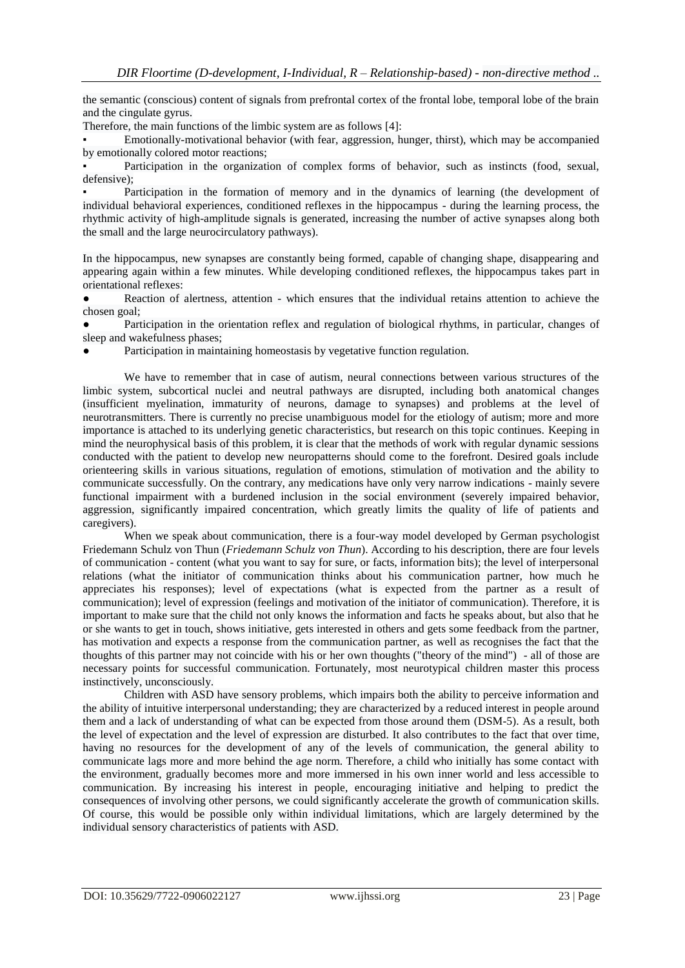the semantic (conscious) content of signals from prefrontal cortex of the frontal lobe, temporal lobe of the brain and the cingulate gyrus.

Therefore, the main functions of the limbic system are as follows [4]:

Emotionally-motivational behavior (with fear, aggression, hunger, thirst), which may be accompanied by emotionally colored motor reactions;

Participation in the organization of complex forms of behavior, such as instincts (food, sexual, defensive);

Participation in the formation of memory and in the dynamics of learning (the development of individual behavioral experiences, conditioned reflexes in the hippocampus - during the learning process, the rhythmic activity of high-amplitude signals is generated, increasing the number of active synapses along both the small and the large neurocirculatory pathways).

In the hippocampus, new synapses are constantly being formed, capable of changing shape, disappearing and appearing again within a few minutes. While developing conditioned reflexes, the hippocampus takes part in orientational reflexes:

Reaction of alertness, attention - which ensures that the individual retains attention to achieve the chosen goal;

Participation in the orientation reflex and regulation of biological rhythms, in particular, changes of sleep and wakefulness phases;

Participation in maintaining homeostasis by vegetative function regulation.

We have to remember that in case of autism, neural connections between various structures of the limbic system, subcortical nuclei and neutral pathways are disrupted, including both anatomical changes (insufficient myelination, immaturity of neurons, damage to synapses) and problems at the level of neurotransmitters. There is currently no precise unambiguous model for the etiology of autism; more and more importance is attached to its underlying genetic characteristics, but research on this topic continues. Keeping in mind the neurophysical basis of this problem, it is clear that the methods of work with regular dynamic sessions conducted with the patient to develop new neuropatterns should come to the forefront. Desired goals include orienteering skills in various situations, regulation of emotions, stimulation of motivation and the ability to communicate successfully. On the contrary, any medications have only very narrow indications - mainly severe functional impairment with a burdened inclusion in the social environment (severely impaired behavior, aggression, significantly impaired concentration, which greatly limits the quality of life of patients and caregivers).

When we speak about communication, there is a four-way model developed by German psychologist Friedemann Schulz von Thun (*Friedemann Schulz von Thun*). According to his description, there are four levels of communication - content (what you want to say for sure, or facts, information bits); the level of interpersonal relations (what the initiator of communication thinks about his communication partner, how much he appreciates his responses); level of expectations (what is expected from the partner as a result of communication); level of expression (feelings and motivation of the initiator of communication). Therefore, it is important to make sure that the child not only knows the information and facts he speaks about, but also that he or she wants to get in touch, shows initiative, gets interested in others and gets some feedback from the partner, has motivation and expects a response from the communication partner, as well as recognises the fact that the thoughts of this partner may not coincide with his or her own thoughts ("theory of the mind") - all of those are necessary points for successful communication. Fortunately, most neurotypical children master this process instinctively, unconsciously.

Children with ASD have sensory problems, which impairs both the ability to perceive information and the ability of intuitive interpersonal understanding; they are characterized by a reduced interest in people around them and a lack of understanding of what can be expected from those around them (DSM-5). As a result, both the level of expectation and the level of expression are disturbed. It also contributes to the fact that over time, having no resources for the development of any of the levels of communication, the general ability to communicate lags more and more behind the age norm. Therefore, a child who initially has some contact with the environment, gradually becomes more and more immersed in his own inner world and less accessible to communication. By increasing his interest in people, encouraging initiative and helping to predict the consequences of involving other persons, we could significantly accelerate the growth of communication skills. Of course, this would be possible only within individual limitations, which are largely determined by the individual sensory characteristics of patients with ASD.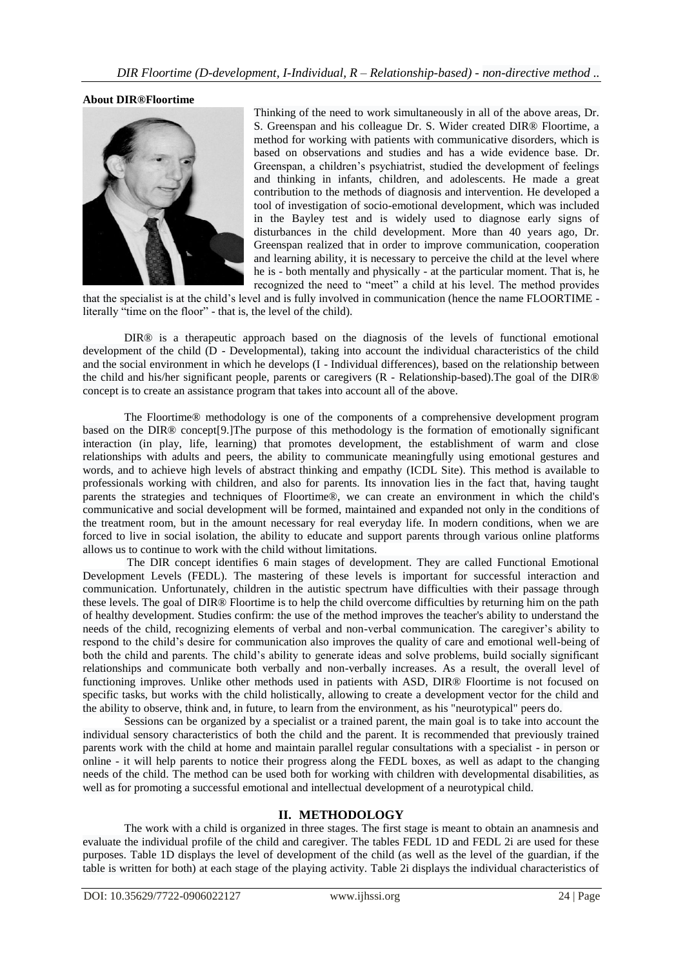## **About DIR®Floortime**



Thinking of the need to work simultaneously in all of the above areas, Dr. S. Greenspan and his colleague Dr. S. Wider created DIR® Floortime, a method for working with patients with communicative disorders, which is based on observations and studies and has a wide evidence base. Dr. Greenspan, a children's psychiatrist, studied the development of feelings and thinking in infants, children, and adolescents. He made a great contribution to the methods of diagnosis and intervention. He developed a tool of investigation of socio-emotional development, which was included in the Bayley test and is widely used to diagnose early signs of disturbances in the child development. More than 40 years ago, Dr. Greenspan realized that in order to improve communication, cooperation and learning ability, it is necessary to perceive the child at the level where he is - both mentally and physically - at the particular moment. That is, he recognized the need to "meet" a child at his level. The method provides

that the specialist is at the child's level and is fully involved in communication (hence the name FLOORTIME literally "time on the floor" - that is, the level of the child).

DIR® is a therapeutic approach based on the diagnosis of the levels of functional emotional development of the child (D - Developmental), taking into account the individual characteristics of the child and the social environment in which he develops (I - Individual differences), based on the relationship between the child and his/her significant people, parents or caregivers (R - Relationship-based).The goal of the DIR® concept is to create an assistance program that takes into account all of the above.

The Floortime® methodology is one of the components of a comprehensive development program based on the DIR® concept[9.]The purpose of this methodology is the formation of emotionally significant interaction (in play, life, learning) that promotes development, the establishment of warm and close relationships with adults and peers, the ability to communicate meaningfully using emotional gestures and words, and to achieve high levels of abstract thinking and empathy (ICDL Site). This method is available to professionals working with children, and also for parents. Its innovation lies in the fact that, having taught parents the strategies and techniques of Floortime®, we can create an environment in which the child's communicative and social development will be formed, maintained and expanded not only in the conditions of the treatment room, but in the amount necessary for real everyday life. In modern conditions, when we are forced to live in social isolation, the ability to educate and support parents through various online platforms allows us to continue to work with the child without limitations.

The DIR concept identifies 6 main stages of development. They are called Functional Emotional Development Levels (FEDL). The mastering of these levels is important for successful interaction and communication. Unfortunately, children in the autistic spectrum have difficulties with their passage through these levels. The goal of DIR® Floortime is to help the child overcome difficulties by returning him on the path of healthy development. Studies confirm: the use of the method improves the teacher's ability to understand the needs of the child, recognizing elements of verbal and non-verbal communication. The caregiver's ability to respond to the child's desire for communication also improves the quality of care and emotional well-being of both the child and parents. The child's ability to generate ideas and solve problems, build socially significant relationships and communicate both verbally and non-verbally increases. As a result, the overall level of functioning improves. Unlike other methods used in patients with ASD, DIR® Floortime is not focused on specific tasks, but works with the child holistically, allowing to create a development vector for the child and the ability to observe, think and, in future, to learn from the environment, as his "neurotypical" peers do.

Sessions can be organized by a specialist or a trained parent, the main goal is to take into account the individual sensory characteristics of both the child and the parent. It is recommended that previously trained parents work with the child at home and maintain parallel regular consultations with a specialist - in person or online - it will help parents to notice their progress along the FEDL boxes, as well as adapt to the changing needs of the child. The method can be used both for working with children with developmental disabilities, as well as for promoting a successful emotional and intellectual development of a neurotypical child.

# **II. METHODOLOGY**

The work with a child is organized in three stages. The first stage is meant to obtain an anamnesis and evaluate the individual profile of the child and caregiver. The tables FEDL 1D and FEDL 2i are used for these purposes. Table 1D displays the level of development of the child (as well as the level of the guardian, if the table is written for both) at each stage of the playing activity. Table 2i displays the individual characteristics of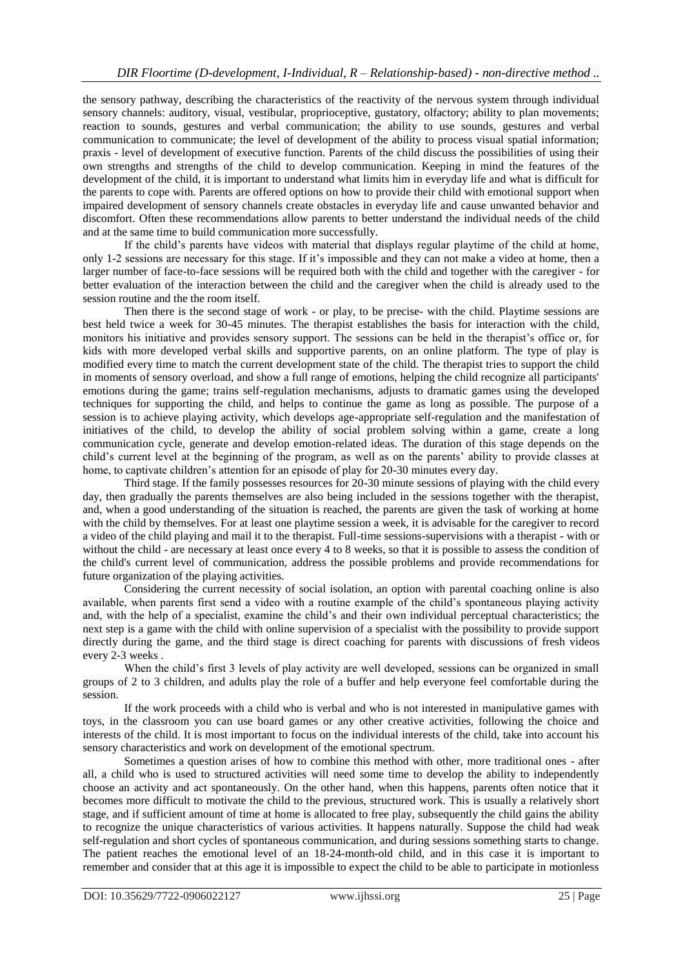the sensory pathway, describing the characteristics of the reactivity of the nervous system through individual sensory channels: auditory, visual, vestibular, proprioceptive, gustatory, olfactory; ability to plan movements; reaction to sounds, gestures and verbal communication; the ability to use sounds, gestures and verbal communication to communicate; the level of development of the ability to process visual spatial information; praxis - level of development of executive function. Parents of the child discuss the possibilities of using their own strengths and strengths of the child to develop communication. Keeping in mind the features of the development of the child, it is important to understand what limits him in everyday life and what is difficult for the parents to cope with. Parents are offered options on how to provide their child with emotional support when impaired development of sensory channels create obstacles in everyday life and cause unwanted behavior and discomfort. Often these recommendations allow parents to better understand the individual needs of the child and at the same time to build communication more successfully.

If the child's parents have videos with material that displays regular playtime of the child at home, only 1-2 sessions are necessary for this stage. If it's impossible and they can not make a video at home, then a larger number of face-to-face sessions will be required both with the child and together with the caregiver - for better evaluation of the interaction between the child and the caregiver when the child is already used to the session routine and the the room itself.

Then there is the second stage of work - or play, to be precise- with the child. Playtime sessions are best held twice a week for 30-45 minutes. The therapist establishes the basis for interaction with the child, monitors his initiative and provides sensory support. The sessions can be held in the therapist's office or, for kids with more developed verbal skills and supportive parents, on an online platform. The type of play is modified every time to match the current development state of the child. The therapist tries to support the child in moments of sensory overload, and show a full range of emotions, helping the child recognize all participants' emotions during the game; trains self-regulation mechanisms, adjusts to dramatic games using the developed techniques for supporting the child, and helps to continue the game as long as possible. The purpose of a session is to achieve playing activity, which develops age-appropriate self-regulation and the manifestation of initiatives of the child, to develop the ability of social problem solving within a game, create a long communication cycle, generate and develop emotion-related ideas. The duration of this stage depends on the child's current level at the beginning of the program, as well as on the parents' ability to provide classes at home, to captivate children's attention for an episode of play for 20-30 minutes every day.

Third stage. If the family possesses resources for 20-30 minute sessions of playing with the child every day, then gradually the parents themselves are also being included in the sessions together with the therapist, and, when a good understanding of the situation is reached, the parents are given the task of working at home with the child by themselves. For at least one playtime session a week, it is advisable for the caregiver to record a video of the child playing and mail it to the therapist. Full-time sessions-supervisions with a therapist - with or without the child - are necessary at least once every 4 to 8 weeks, so that it is possible to assess the condition of the child's current level of communication, address the possible problems and provide recommendations for future organization of the playing activities.

Considering the current necessity of social isolation, an option with parental coaching online is also available, when parents first send a video with a routine example of the child's spontaneous playing activity and, with the help of a specialist, examine the child's and their own individual perceptual characteristics; the next step is a game with the child with online supervision of a specialist with the possibility to provide support directly during the game, and the third stage is direct coaching for parents with discussions of fresh videos every 2-3 weeks .

When the child's first 3 levels of play activity are well developed, sessions can be organized in small groups of 2 to 3 children, and adults play the role of a buffer and help everyone feel comfortable during the session.

If the work proceeds with a child who is verbal and who is not interested in manipulative games with toys, in the classroom you can use board games or any other creative activities, following the choice and interests of the child. It is most important to focus on the individual interests of the child, take into account his sensory characteristics and work on development of the emotional spectrum.

Sometimes a question arises of how to combine this method with other, more traditional ones - after all, a child who is used to structured activities will need some time to develop the ability to independently choose an activity and act spontaneously. On the other hand, when this happens, parents often notice that it becomes more difficult to motivate the child to the previous, structured work. This is usually a relatively short stage, and if sufficient amount of time at home is allocated to free play, subsequently the child gains the ability to recognize the unique characteristics of various activities. It happens naturally. Suppose the child had weak self-regulation and short cycles of spontaneous communication, and during sessions something starts to change. The patient reaches the emotional level of an 18-24-month-old child, and in this case it is important to remember and consider that at this age it is impossible to expect the child to be able to participate in motionless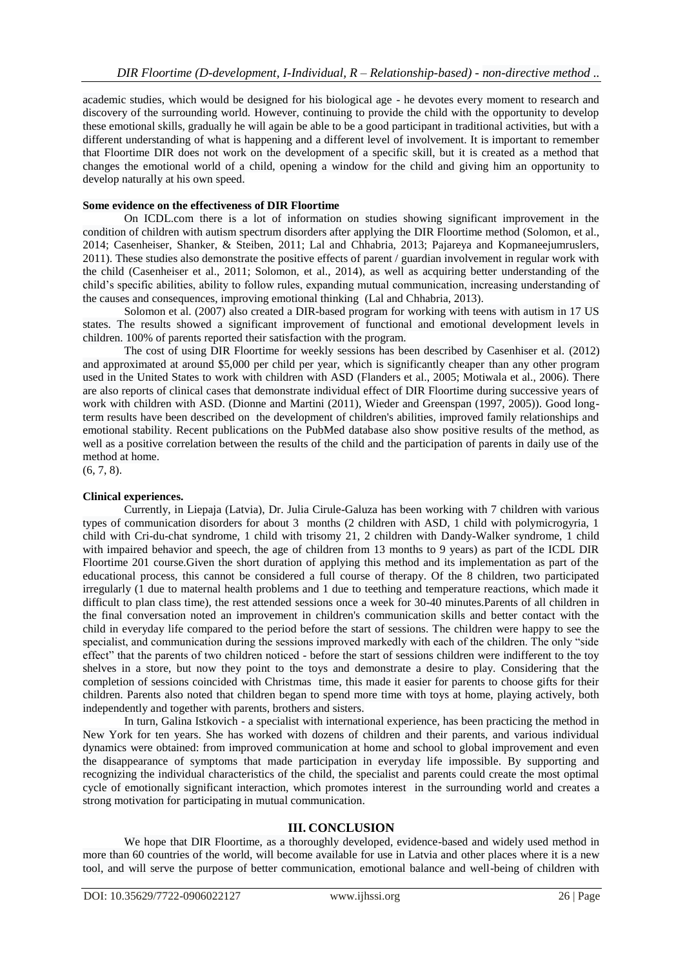academic studies, which would be designed for his biological age - he devotes every moment to research and discovery of the surrounding world. However, continuing to provide the child with the opportunity to develop these emotional skills, gradually he will again be able to be a good participant in traditional activities, but with a different understanding of what is happening and a different level of involvement. It is important to remember that Floortime DIR does not work on the development of a specific skill, but it is created as a method that changes the emotional world of a child, opening a window for the child and giving him an opportunity to develop naturally at his own speed.

### **Some evidence on the effectiveness of DIR Floortime**

On ICDL.com there is a lot of information on studies showing significant improvement in the condition of children with autism spectrum disorders after applying the DIR Floortime method (Solomon, et al., 2014; Casenheiser, Shanker, & Steiben, 2011; Lal and Chhabria, 2013; Pajareya and Kopmaneejumruslers, 2011). These studies also demonstrate the positive effects of parent / guardian involvement in regular work with the child (Casenheiser et al., 2011; Solomon, et al., 2014), as well as acquiring better understanding of the child's specific abilities, ability to follow rules, expanding mutual communication, increasing understanding of the causes and consequences, improving emotional thinking (Lal and Chhabria, 2013).

Solomon et al. (2007) also created a DIR-based program for working with teens with autism in 17 US states. The results showed a significant improvement of functional and emotional development levels in children. 100% of parents reported their satisfaction with the program.

The cost of using DIR Floortime for weekly sessions has been described by Casenhiser et al. (2012) and approximated at around \$5,000 per child per year, which is significantly cheaper than any other program used in the United States to work with children with ASD (Flanders et al., 2005; Motiwala et al., 2006). There are also reports of clinical cases that demonstrate individual effect of DIR Floortime during successive years of work with children with ASD. (Dionne and Martini (2011), Wieder and Greenspan (1997, 2005)). Good longterm results have been described on the development of children's abilities, improved family relationships and emotional stability. Recent publications on the PubMed database also show positive results of the method, as well as a positive correlation between the results of the child and the participation of parents in daily use of the method at home.

(6, 7, 8).

### **Clinical experiences.**

Currently, in Liepaja (Latvia), Dr. Julia Cirule-Galuza has been working with 7 children with various types of communication disorders for about 3 months (2 children with ASD, 1 child with polymicrogyria, 1 child with Cri-du-chat syndrome, 1 child with trisomy 21, 2 children with Dandy-Walker syndrome, 1 child with impaired behavior and speech, the age of children from 13 months to 9 years) as part of the ICDL DIR Floortime 201 course.Given the short duration of applying this method and its implementation as part of the educational process, this cannot be considered a full course of therapy. Of the 8 children, two participated irregularly (1 due to maternal health problems and 1 due to teething and temperature reactions, which made it difficult to plan class time), the rest attended sessions once a week for 30-40 minutes. Parents of all children in the final conversation noted an improvement in children's communication skills and better contact with the child in everyday life compared to the period before the start of sessions. The children were happy to see the specialist, and communication during the sessions improved markedly with each of the children. The only "side effect" that the parents of two children noticed - before the start of sessions children were indifferent to the toy shelves in a store, but now they point to the toys and demonstrate a desire to play. Considering that the completion of sessions coincided with Christmas time, this made it easier for parents to choose gifts for their children. Parents also noted that children began to spend more time with toys at home, playing actively, both independently and together with parents, brothers and sisters.

In turn, Galina Istkovich - a specialist with international experience, has been practicing the method in New York for ten years. She has worked with dozens of children and their parents, and various individual dynamics were obtained: from improved communication at home and school to global improvement and even the disappearance of symptoms that made participation in everyday life impossible. By supporting and recognizing the individual characteristics of the child, the specialist and parents could create the most optimal cycle of emotionally significant interaction, which promotes interest in the surrounding world and creates a strong motivation for participating in mutual communication.

### **III. CONCLUSION**

We hope that DIR Floortime, as a thoroughly developed, evidence-based and widely used method in more than 60 countries of the world, will become available for use in Latvia and other places where it is a new tool, and will serve the purpose of better communication, emotional balance and well-being of children with